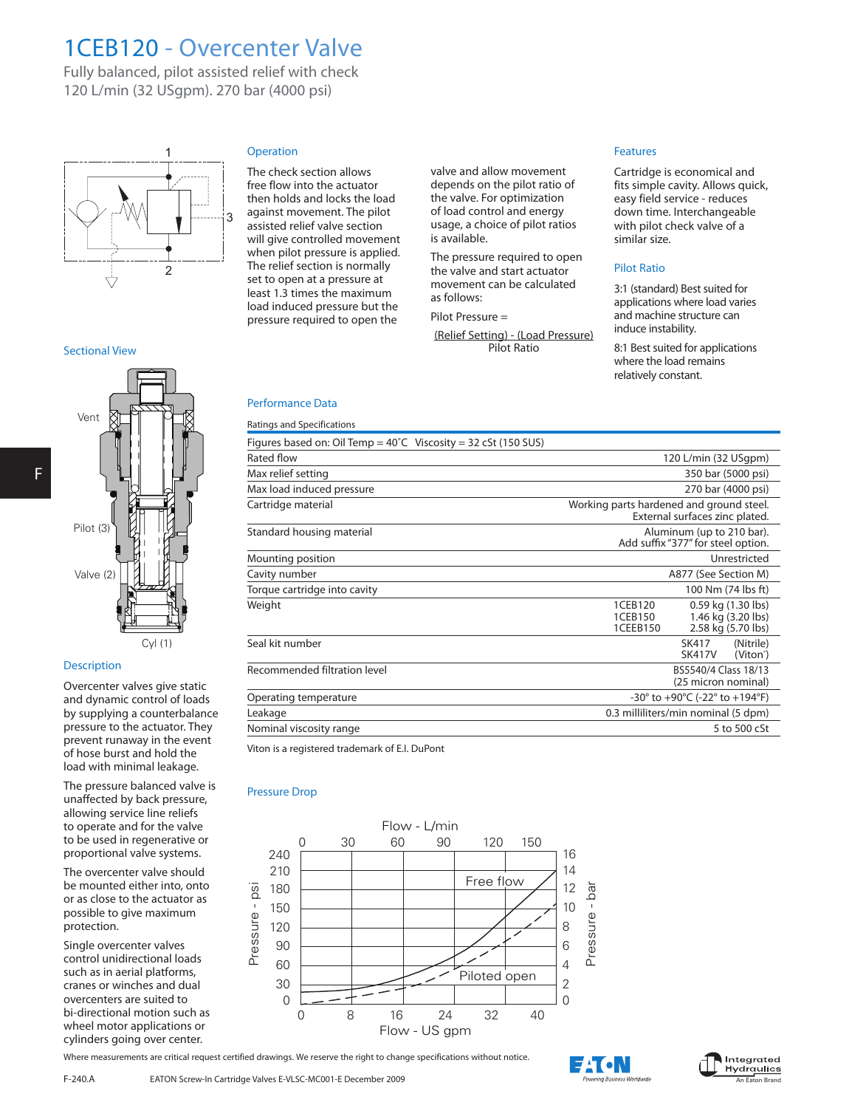## 1CEB120 - Overcenter Valve

Fully balanced, pilot assisted relief with check 120 L/min (32 USgpm). 270 bar (4000 psi)



#### Sectional View

# F



### **Description**

Overcenter valves give static and dynamic control of loads by supplying a counterbalance pressure to the actuator. They prevent runaway in the event of hose burst and hold the load with minimal leakage.

The pressure balanced valve is unaffected by back pressure, allowing service line reliefs to operate and for the valve to be used in regenerative or proportional valve systems.

The overcenter valve should be mounted either into, onto or as close to the actuator as possible to give maximum protection.

Single overcenter valves control unidirectional loads such as in aerial platforms, cranes or winches and dual overcenters are suited to bi-directional motion such as wheel motor applications or cylinders going over center.

## **Operation**

The check section allows free flow into the actuator then holds and locks the load against movement. The pilot assisted relief valve section will give controlled movement when pilot pressure is applied. The relief section is normally set to open at a pressure at least 1.3 times the maximum load induced pressure but the pressure required to open the

valve and allow movement depends on the pilot ratio of the valve. For optimization of load control and energy usage, a choice of pilot ratios is available.

The pressure required to open the valve and start actuator movement can be calculated as follows:

Pilot Pressure =

(Relief Setting) - (Load Pressure) Pilot Ratio

#### Features

Cartridge is economical and fits simple cavity. Allows quick, easy field service - reduces down time. Interchangeable with pilot check valve of a similar size.

#### Pilot Ratio

3:1 (standard) Best suited for applications where load varies and machine structure can induce instability.

8:1 Best suited for applications where the load remains relatively constant.

### Performance Data

| Ratings and Specifications                                               |                                                                                                  |
|--------------------------------------------------------------------------|--------------------------------------------------------------------------------------------------|
| Figures based on: Oil Temp = $40^{\circ}$ C Viscosity = 32 cSt (150 SUS) |                                                                                                  |
| Rated flow                                                               | 120 L/min (32 USgpm)                                                                             |
| Max relief setting                                                       | 350 bar (5000 psi)                                                                               |
| Max load induced pressure                                                | 270 bar (4000 psi)                                                                               |
| Cartridge material                                                       | Working parts hardened and ground steel.<br>External surfaces zinc plated.                       |
| Standard housing material                                                | Aluminum (up to 210 bar).<br>Add suffix "377" for steel option.                                  |
| Mounting position                                                        | Unrestricted                                                                                     |
| Cavity number                                                            | A877 (See Section M)                                                                             |
| Torque cartridge into cavity                                             | 100 Nm (74 lbs ft)                                                                               |
| Weight                                                                   | 1CEB120<br>0.59 kg (1.30 lbs)<br>1CEB150<br>1.46 kg (3.20 lbs)<br>1CEEB150<br>2.58 kg (5.70 lbs) |
| Seal kit number                                                          | (Nitrile)<br>SK417<br><b>SK417V</b><br>(Viton <sup>®</sup> )                                     |
| Recommended filtration level                                             | BS5540/4 Class 18/13<br>(25 micron nominal)                                                      |
| Operating temperature                                                    | -30° to +90°C (-22° to +194°F)                                                                   |
| Leakage                                                                  | 0.3 milliliters/min nominal (5 dpm)                                                              |
| Nominal viscosity range                                                  | 5 to 500 cSt                                                                                     |

Viton is a registered trademark of E.I. DuPont

#### Pressure Drop



Where measurements are critical request certified drawings. We reserve the right to change specifications without notice.